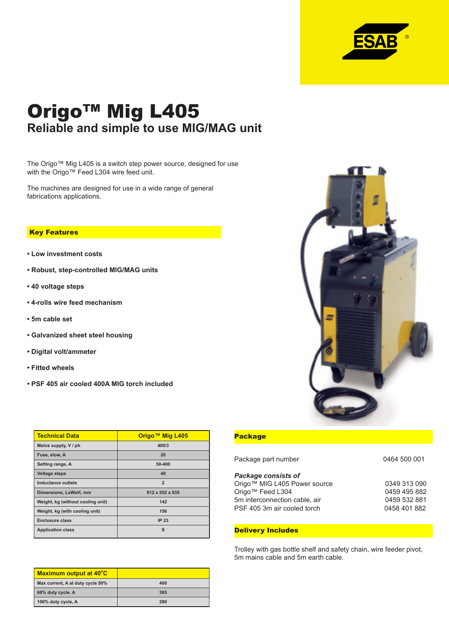

# Origo™ Mig L405 **Reliable and simple to use MIG/MAG unit**

The Origo™ Mig L405 is a switch step power source, designed for use with the Origo™ Feed L304 wire feed unit.

The machines are designed for use in a wide range of general fabrications applications.

#### **Key Features**

- **Low investment costs**
- **Robust, step-controlled MIG/MAG units**
- **40 voltage steps**
- **4-rolls wire feed mechanism**
- **5m cable set**
- **Galvanized sheet steel housing**
- **Digital volt/ammeter**
- **Fitted wheels**
- **PSF 405 air cooled 400A MIG torch included**

| <b>Technical Data</b>             | Origo™ Mig L405 |
|-----------------------------------|-----------------|
| Mains supply, V / ph              | 400/3           |
| Fuse, slow, A                     | 20              |
| Setting range, A                  | 50-400          |
| <b>Voltage steps</b>              | 40              |
| Inductance outlets                | $\overline{2}$  |
| Dimensions, LxWxH, mm             | 812 x 552 x 935 |
| Weight, kg (without cooling unit) | 142             |
| Weight, kg (with cooling unit)    | 156             |
| Enclosure class                   | <b>IP 23</b>    |
| <b>Application class</b>          | s               |

| Maximum output at 40°C           |     |
|----------------------------------|-----|
| Max current, A at duty cycle 50% | 400 |
| 60% duty cycle, A                | 365 |
| 100% duty cycle, A               | 280 |



## **Package**

| Package part number           | 0464 500 001 |
|-------------------------------|--------------|
| <b>Package consists of</b>    |              |
| Origo™ MIG L405 Power source  | 0349 313 090 |
| Origo™ Feed L304              | 0459 495 882 |
| 5m interconnection cable, air | 0459 532 881 |
| PSF 405 3m air cooled torch   | 0458 401 882 |
|                               |              |

## **Delivery Includes**

Trolley with gas bottle shelf and safety chain, wire feeder pivot, 5m mains cable and 5m earth cable.